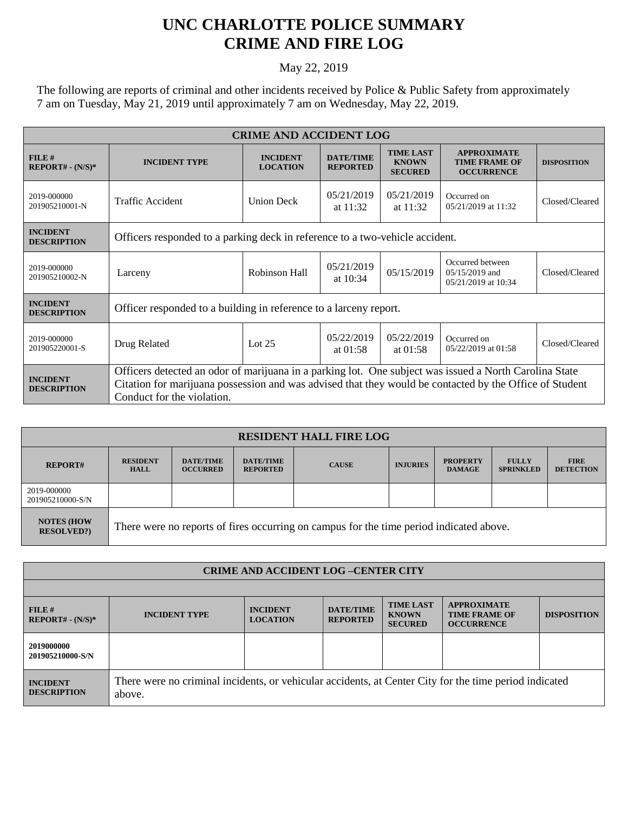## **UNC CHARLOTTE POLICE SUMMARY CRIME AND FIRE LOG**

## May 22, 2019

The following are reports of criminal and other incidents received by Police & Public Safety from approximately 7 am on Tuesday, May 21, 2019 until approximately 7 am on Wednesday, May 22, 2019.

| <b>CRIME AND ACCIDENT LOG</b>         |                                                                                                                                                                                                                                                 |                                    |                                     |                                                    |                                                                 |                    |  |
|---------------------------------------|-------------------------------------------------------------------------------------------------------------------------------------------------------------------------------------------------------------------------------------------------|------------------------------------|-------------------------------------|----------------------------------------------------|-----------------------------------------------------------------|--------------------|--|
| FILE#<br>$REPORT# - (N/S)*$           | <b>INCIDENT TYPE</b>                                                                                                                                                                                                                            | <b>INCIDENT</b><br><b>LOCATION</b> | <b>DATE/TIME</b><br><b>REPORTED</b> | <b>TIME LAST</b><br><b>KNOWN</b><br><b>SECURED</b> | <b>APPROXIMATE</b><br><b>TIME FRAME OF</b><br><b>OCCURRENCE</b> | <b>DISPOSITION</b> |  |
| 2019-000000<br>201905210001-N         | Traffic Accident                                                                                                                                                                                                                                | <b>Union Deck</b>                  | 05/21/2019<br>at $11:32$            | 05/21/2019<br>at $11:32$                           | Occurred on<br>05/21/2019 at 11:32                              | Closed/Cleared     |  |
| <b>INCIDENT</b><br><b>DESCRIPTION</b> | Officers responded to a parking deck in reference to a two-vehicle accident.                                                                                                                                                                    |                                    |                                     |                                                    |                                                                 |                    |  |
| 2019-000000<br>201905210002-N         | Larceny                                                                                                                                                                                                                                         | Robinson Hall                      | 05/21/2019<br>at $10:34$            | 05/15/2019                                         | Occurred between<br>$05/15/2019$ and<br>05/21/2019 at 10:34     | Closed/Cleared     |  |
| <b>INCIDENT</b><br><b>DESCRIPTION</b> | Officer responded to a building in reference to a larceny report.                                                                                                                                                                               |                                    |                                     |                                                    |                                                                 |                    |  |
| 2019-000000<br>201905220001-S         | Drug Related                                                                                                                                                                                                                                    | Lot $25$                           | 05/22/2019<br>at $01:58$            | 05/22/2019<br>at $01:58$                           | Occurred on<br>05/22/2019 at 01:58                              | Closed/Cleared     |  |
| <b>INCIDENT</b><br><b>DESCRIPTION</b> | Officers detected an odor of marijuana in a parking lot. One subject was issued a North Carolina State<br>Citation for marijuana possession and was advised that they would be contacted by the Office of Student<br>Conduct for the violation. |                                    |                                     |                                                    |                                                                 |                    |  |

| <b>RESIDENT HALL FIRE LOG</b>         |                                                                                         |                                     |                                     |              |                 |                                  |                                  |                                 |  |
|---------------------------------------|-----------------------------------------------------------------------------------------|-------------------------------------|-------------------------------------|--------------|-----------------|----------------------------------|----------------------------------|---------------------------------|--|
| <b>REPORT#</b>                        | <b>RESIDENT</b><br><b>HALL</b>                                                          | <b>DATE/TIME</b><br><b>OCCURRED</b> | <b>DATE/TIME</b><br><b>REPORTED</b> | <b>CAUSE</b> | <b>INJURIES</b> | <b>PROPERTY</b><br><b>DAMAGE</b> | <b>FULLY</b><br><b>SPRINKLED</b> | <b>FIRE</b><br><b>DETECTION</b> |  |
| 2019-000000<br>201905210000-S/N       |                                                                                         |                                     |                                     |              |                 |                                  |                                  |                                 |  |
| <b>NOTES (HOW</b><br><b>RESOLVED?</b> | There were no reports of fires occurring on campus for the time period indicated above. |                                     |                                     |              |                 |                                  |                                  |                                 |  |

| <b>CRIME AND ACCIDENT LOG-CENTER CITY</b> |                                                                                                                  |                                    |                                     |                                                    |                                                                 |                    |  |
|-------------------------------------------|------------------------------------------------------------------------------------------------------------------|------------------------------------|-------------------------------------|----------------------------------------------------|-----------------------------------------------------------------|--------------------|--|
|                                           |                                                                                                                  |                                    |                                     |                                                    |                                                                 |                    |  |
| $FILE$ #<br>$REPORT# - (N/S)*$            | <b>INCIDENT TYPE</b>                                                                                             | <b>INCIDENT</b><br><b>LOCATION</b> | <b>DATE/TIME</b><br><b>REPORTED</b> | <b>TIME LAST</b><br><b>KNOWN</b><br><b>SECURED</b> | <b>APPROXIMATE</b><br><b>TIME FRAME OF</b><br><b>OCCURRENCE</b> | <b>DISPOSITION</b> |  |
| 2019000000<br>201905210000-S/N            |                                                                                                                  |                                    |                                     |                                                    |                                                                 |                    |  |
| <b>INCIDENT</b><br><b>DESCRIPTION</b>     | There were no criminal incidents, or vehicular accidents, at Center City for the time period indicated<br>above. |                                    |                                     |                                                    |                                                                 |                    |  |